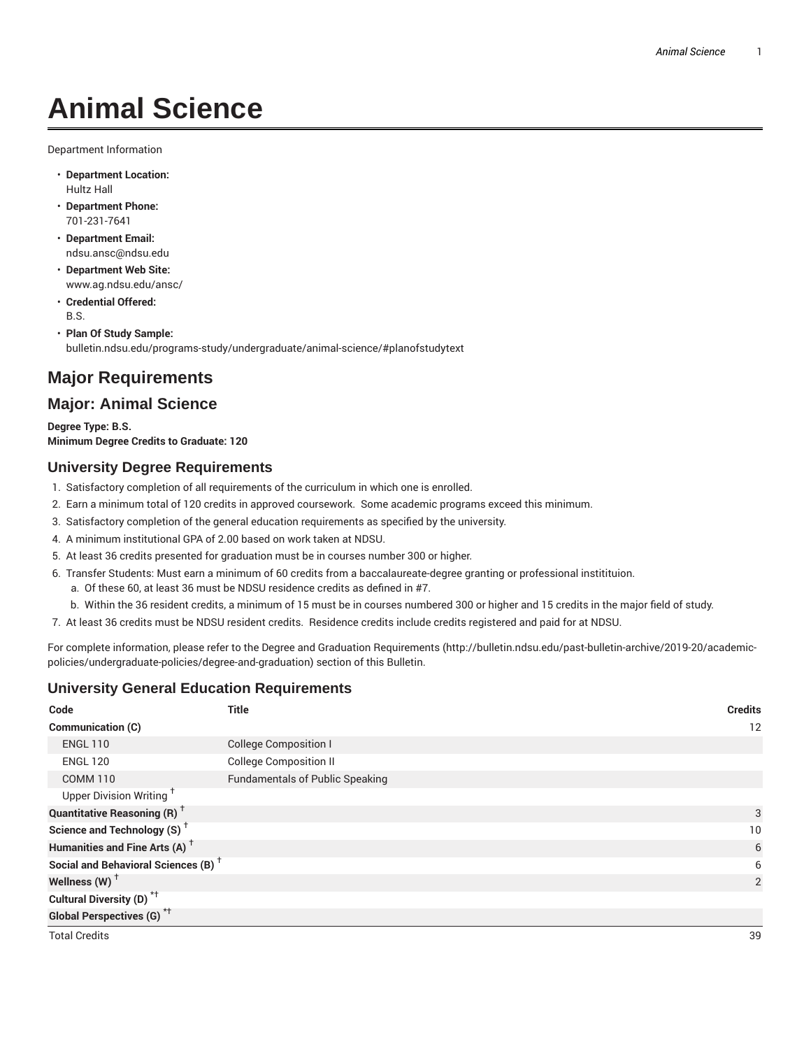# **Animal Science**

Department Information

- **Department Location:** Hultz Hall
- **Department Phone:** 701-231-7641
- **Department Email:** ndsu.ansc@ndsu.edu
- **Department Web Site:** www.ag.ndsu.edu/ansc/
- **Credential Offered:** B.S.
- **Plan Of Study Sample:** bulletin.ndsu.edu/programs-study/undergraduate/animal-science/#planofstudytext

## **Major Requirements**

## **Major: Animal Science**

**Degree Type: B.S. Minimum Degree Credits to Graduate: 120**

## **University Degree Requirements**

- 1. Satisfactory completion of all requirements of the curriculum in which one is enrolled.
- 2. Earn a minimum total of 120 credits in approved coursework. Some academic programs exceed this minimum.
- 3. Satisfactory completion of the general education requirements as specified by the university.
- 4. A minimum institutional GPA of 2.00 based on work taken at NDSU.
- 5. At least 36 credits presented for graduation must be in courses number 300 or higher.
- 6. Transfer Students: Must earn a minimum of 60 credits from a baccalaureate-degree granting or professional institituion.
	- a. Of these 60, at least 36 must be NDSU residence credits as defined in #7.
	- b. Within the 36 resident credits, a minimum of 15 must be in courses numbered 300 or higher and 15 credits in the major field of study.
- 7. At least 36 credits must be NDSU resident credits. Residence credits include credits registered and paid for at NDSU.

For complete information, please refer to the Degree and Graduation Requirements (http://bulletin.ndsu.edu/past-bulletin-archive/2019-20/academicpolicies/undergraduate-policies/degree-and-graduation) section of this Bulletin.

## **University General Education Requirements**

| Code                                            | <b>Title</b>                           | <b>Credits</b> |
|-------------------------------------------------|----------------------------------------|----------------|
| <b>Communication (C)</b>                        |                                        | 12             |
| <b>ENGL 110</b>                                 | <b>College Composition I</b>           |                |
| <b>ENGL 120</b>                                 | <b>College Composition II</b>          |                |
| <b>COMM 110</b>                                 | <b>Fundamentals of Public Speaking</b> |                |
| Upper Division Writing <sup>+</sup>             |                                        |                |
| <b>Quantitative Reasoning (R)</b> <sup>†</sup>  |                                        | 3              |
| Science and Technology (S) <sup>+</sup>         |                                        | 10             |
| Humanities and Fine Arts (A) <sup>+</sup>       |                                        | 6              |
| Social and Behavioral Sciences (B) <sup>+</sup> |                                        | 6              |
| Wellness $(W)$ <sup>+</sup>                     |                                        | $\overline{2}$ |
| Cultural Diversity (D) <sup>*†</sup>            |                                        |                |
| <b>Global Perspectives (G)</b> <sup>*†</sup>    |                                        |                |
| <b>Total Credits</b>                            |                                        | 39             |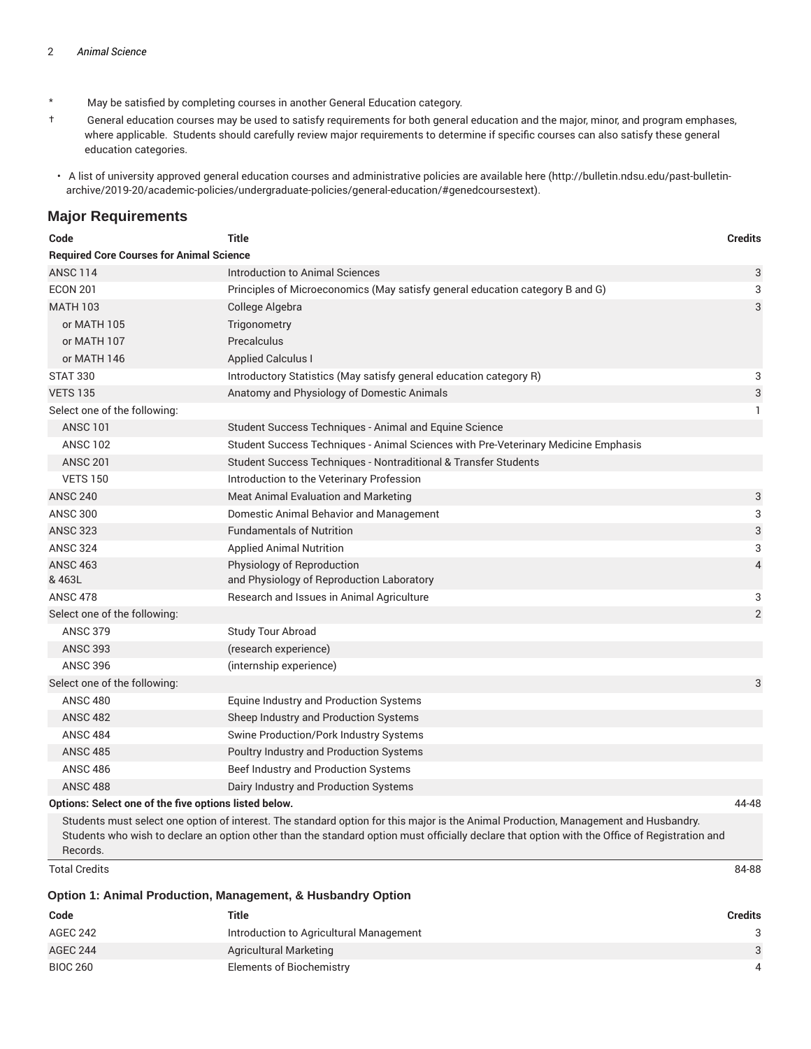- \* May be satisfied by completing courses in another General Education category.
- † General education courses may be used to satisfy requirements for both general education and the major, minor, and program emphases, where applicable. Students should carefully review major requirements to determine if specific courses can also satisfy these general education categories.
- A list of university approved general education courses and administrative policies are available here (http://bulletin.ndsu.edu/past-bulletinarchive/2019-20/academic-policies/undergraduate-policies/general-education/#genedcoursestext).

#### **Major Requirements**

| Code                                                  | <b>Title</b>                                                                       | <b>Credits</b> |
|-------------------------------------------------------|------------------------------------------------------------------------------------|----------------|
| <b>Required Core Courses for Animal Science</b>       |                                                                                    |                |
| <b>ANSC 114</b>                                       | Introduction to Animal Sciences                                                    | 3              |
| <b>ECON 201</b>                                       | Principles of Microeconomics (May satisfy general education category B and G)      | 3              |
| <b>MATH 103</b>                                       | College Algebra                                                                    | 3              |
| or MATH 105                                           | Trigonometry                                                                       |                |
| or MATH 107                                           | Precalculus                                                                        |                |
| or MATH 146                                           | <b>Applied Calculus I</b>                                                          |                |
| <b>STAT 330</b>                                       | Introductory Statistics (May satisfy general education category R)                 | 3              |
| <b>VETS 135</b>                                       | Anatomy and Physiology of Domestic Animals                                         | 3              |
| Select one of the following:                          |                                                                                    | $\mathbf{1}$   |
| <b>ANSC 101</b>                                       | Student Success Techniques - Animal and Equine Science                             |                |
| <b>ANSC 102</b>                                       | Student Success Techniques - Animal Sciences with Pre-Veterinary Medicine Emphasis |                |
| <b>ANSC 201</b>                                       | Student Success Techniques - Nontraditional & Transfer Students                    |                |
| <b>VETS 150</b>                                       | Introduction to the Veterinary Profession                                          |                |
| <b>ANSC 240</b>                                       | Meat Animal Evaluation and Marketing                                               | 3              |
| <b>ANSC 300</b>                                       | Domestic Animal Behavior and Management                                            | 3              |
| <b>ANSC 323</b>                                       | <b>Fundamentals of Nutrition</b>                                                   | 3              |
| <b>ANSC 324</b>                                       | <b>Applied Animal Nutrition</b>                                                    | 3              |
| <b>ANSC 463</b><br>& 463L                             | Physiology of Reproduction<br>and Physiology of Reproduction Laboratory            | 4              |
| <b>ANSC 478</b>                                       | Research and Issues in Animal Agriculture                                          | 3              |
| Select one of the following:                          |                                                                                    | $\overline{2}$ |
| <b>ANSC 379</b>                                       | <b>Study Tour Abroad</b>                                                           |                |
| <b>ANSC 393</b>                                       | (research experience)                                                              |                |
| <b>ANSC 396</b>                                       | (internship experience)                                                            |                |
| Select one of the following:                          |                                                                                    | 3              |
| <b>ANSC 480</b>                                       | Equine Industry and Production Systems                                             |                |
| <b>ANSC 482</b>                                       | Sheep Industry and Production Systems                                              |                |
| <b>ANSC 484</b>                                       | Swine Production/Pork Industry Systems                                             |                |
| <b>ANSC 485</b>                                       | Poultry Industry and Production Systems                                            |                |
| <b>ANSC 486</b>                                       | Beef Industry and Production Systems                                               |                |
| <b>ANSC 488</b>                                       | Dairy Industry and Production Systems                                              |                |
| Options: Select one of the five options listed below. |                                                                                    | 44-48          |

Students must select one option of interest. The standard option for this major is the Animal Production, Management and Husbandry. Students who wish to declare an option other than the standard option must officially declare that option with the Office of Registration and Records.

Total Credits 84-88

**Option 1: Animal Production, Management, & Husbandry Option**

| Code            | Title                                   | Credits |
|-----------------|-----------------------------------------|---------|
| AGEC 242        | Introduction to Agricultural Management |         |
| <b>AGEC 244</b> | Agricultural Marketing                  |         |
| <b>BIOC 260</b> | Elements of Biochemistry                |         |
|                 |                                         |         |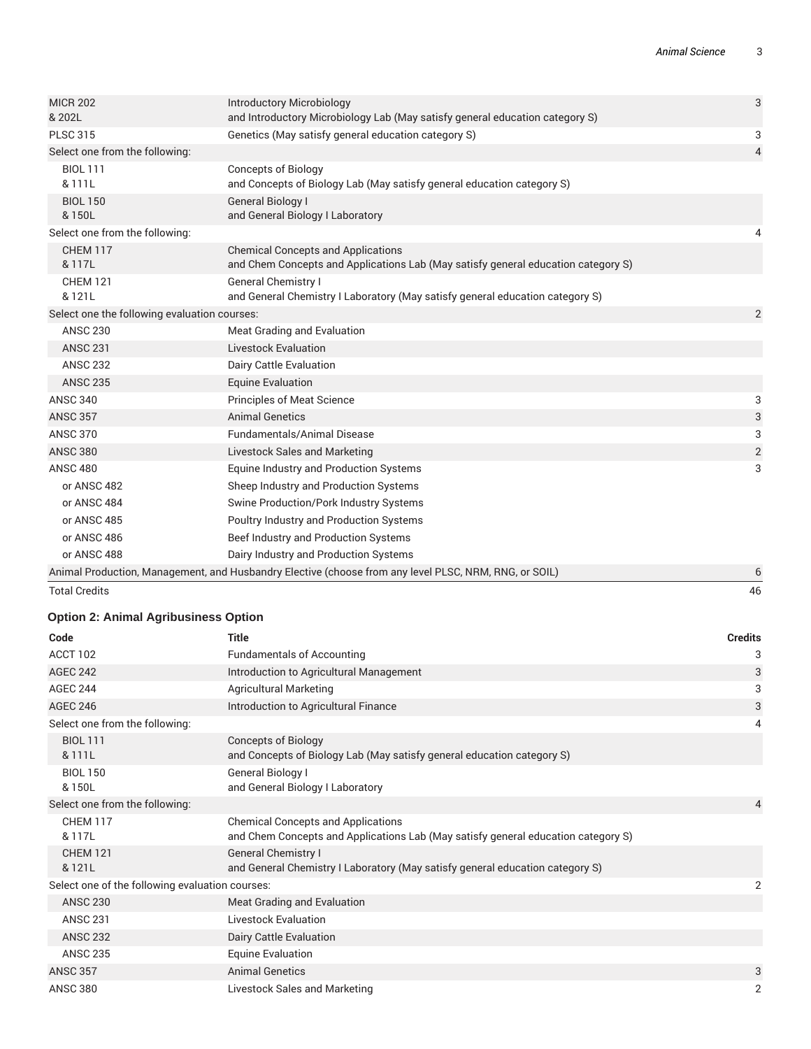| 3<br>3<br>$\overline{4}$ |
|--------------------------|
|                          |
|                          |
|                          |
|                          |
|                          |
|                          |
| 4                        |
|                          |
|                          |
| $\overline{2}$           |
|                          |
|                          |
|                          |
|                          |
| 3                        |
| 3                        |
| 3                        |
| $\overline{2}$           |
| 3                        |
|                          |
|                          |
|                          |
|                          |
|                          |
| 6                        |
|                          |

Total Credits 46

## **Option 2: Animal Agribusiness Option**

| Code                                            | <b>Title</b>                                                                                                                   | <b>Credits</b> |
|-------------------------------------------------|--------------------------------------------------------------------------------------------------------------------------------|----------------|
| ACCT 102                                        | <b>Fundamentals of Accounting</b>                                                                                              | 3              |
| <b>AGEC 242</b>                                 | Introduction to Agricultural Management                                                                                        | 3              |
| <b>AGEC 244</b>                                 | <b>Agricultural Marketing</b>                                                                                                  | 3              |
| <b>AGEC 246</b>                                 | Introduction to Agricultural Finance                                                                                           | 3              |
| Select one from the following:                  |                                                                                                                                | 4              |
| <b>BIOL 111</b><br>& 111L                       | <b>Concepts of Biology</b><br>and Concepts of Biology Lab (May satisfy general education category S)                           |                |
| <b>BIOL 150</b><br>& 150L                       | General Biology I<br>and General Biology I Laboratory                                                                          |                |
| Select one from the following:                  |                                                                                                                                | 4              |
| <b>CHEM 117</b><br>& 117L                       | <b>Chemical Concepts and Applications</b><br>and Chem Concepts and Applications Lab (May satisfy general education category S) |                |
| <b>CHEM 121</b><br>& 121L                       | <b>General Chemistry I</b><br>and General Chemistry I Laboratory (May satisfy general education category S)                    |                |
| Select one of the following evaluation courses: |                                                                                                                                | 2              |
| <b>ANSC 230</b>                                 | Meat Grading and Evaluation                                                                                                    |                |
| <b>ANSC 231</b>                                 | Livestock Evaluation                                                                                                           |                |
| <b>ANSC 232</b>                                 | Dairy Cattle Evaluation                                                                                                        |                |
| <b>ANSC 235</b>                                 | <b>Equine Evaluation</b>                                                                                                       |                |
| <b>ANSC 357</b>                                 | <b>Animal Genetics</b>                                                                                                         | 3              |
| <b>ANSC 380</b>                                 | Livestock Sales and Marketing                                                                                                  | $\overline{2}$ |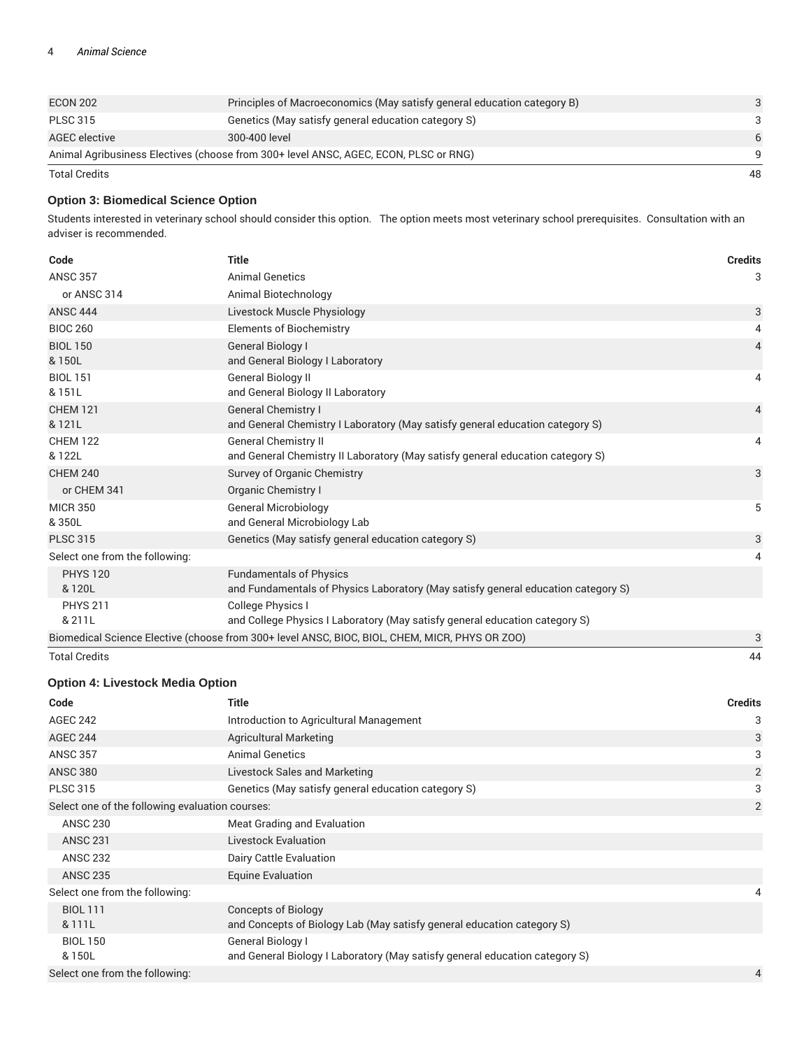| <b>ECON 202</b>      | Principles of Macroeconomics (May satisfy general education category B)              |    |
|----------------------|--------------------------------------------------------------------------------------|----|
| <b>PLSC 315</b>      | Genetics (May satisfy general education category S)                                  | 3  |
| AGEC elective        | 300-400 level                                                                        | 6  |
|                      | Animal Agribusiness Electives (choose from 300+ level ANSC, AGEC, ECON, PLSC or RNG) | Q  |
| <b>Total Credits</b> |                                                                                      | 48 |

#### **Option 3: Biomedical Science Option**

Students interested in veterinary school should consider this option. The option meets most veterinary school prerequisites. Consultation with an adviser is recommended.

| Code                           | <b>Title</b>                                                                                                        | <b>Credits</b> |
|--------------------------------|---------------------------------------------------------------------------------------------------------------------|----------------|
| <b>ANSC 357</b>                | <b>Animal Genetics</b>                                                                                              | 3              |
| or ANSC 314                    | Animal Biotechnology                                                                                                |                |
| <b>ANSC 444</b>                | Livestock Muscle Physiology                                                                                         | 3              |
| <b>BIOC 260</b>                | <b>Elements of Biochemistry</b>                                                                                     | 4              |
| <b>BIOL 150</b><br>& 150L      | General Biology I<br>and General Biology I Laboratory                                                               | $\overline{4}$ |
| <b>BIOL 151</b><br>& 151L      | <b>General Biology II</b><br>and General Biology II Laboratory                                                      | 4              |
| <b>CHEM 121</b><br>& 121L      | <b>General Chemistry I</b><br>and General Chemistry I Laboratory (May satisfy general education category S)         | $\overline{4}$ |
| <b>CHEM 122</b><br>& 122L      | <b>General Chemistry II</b><br>and General Chemistry II Laboratory (May satisfy general education category S)       | 4              |
| <b>CHEM 240</b>                | Survey of Organic Chemistry                                                                                         | 3              |
| or CHEM 341                    | Organic Chemistry I                                                                                                 |                |
| <b>MICR 350</b><br>&350L       | <b>General Microbiology</b><br>and General Microbiology Lab                                                         | 5              |
| <b>PLSC 315</b>                | Genetics (May satisfy general education category S)                                                                 | 3              |
| Select one from the following: |                                                                                                                     | 4              |
| <b>PHYS 120</b><br>& 120L      | <b>Fundamentals of Physics</b><br>and Fundamentals of Physics Laboratory (May satisfy general education category S) |                |
| <b>PHYS 211</b>                | <b>College Physics I</b>                                                                                            |                |
| & 211L                         | and College Physics I Laboratory (May satisfy general education category S)                                         |                |
|                                | Biomedical Science Elective (choose from 300+ level ANSC, BIOC, BIOL, CHEM, MICR, PHYS OR ZOO)                      | 3              |
| <b>Total Credits</b>           |                                                                                                                     | 44             |

#### **Option 4: Livestock Media Option**

| Code                                             | <b>Title</b>                                                                | <b>Credits</b> |
|--------------------------------------------------|-----------------------------------------------------------------------------|----------------|
| <b>AGEC 242</b>                                  | Introduction to Agricultural Management                                     | 3              |
| <b>AGEC 244</b>                                  | <b>Agricultural Marketing</b>                                               | 3              |
| <b>ANSC 357</b>                                  | <b>Animal Genetics</b>                                                      | 3              |
| <b>ANSC 380</b>                                  | Livestock Sales and Marketing                                               | 2              |
| <b>PLSC 315</b>                                  | Genetics (May satisfy general education category S)                         | 3              |
| Select one of the following evaluation courses:  |                                                                             | 2              |
| <b>ANSC 230</b>                                  | Meat Grading and Evaluation                                                 |                |
| <b>ANSC 231</b>                                  | <b>Livestock Evaluation</b>                                                 |                |
| <b>ANSC 232</b>                                  | Dairy Cattle Evaluation                                                     |                |
| <b>ANSC 235</b>                                  | <b>Equine Evaluation</b>                                                    |                |
| Select one from the following:                   |                                                                             | 4              |
| <b>BIOL 111</b>                                  | <b>Concepts of Biology</b>                                                  |                |
| & 111L                                           | and Concepts of Biology Lab (May satisfy general education category S)      |                |
| <b>BIOL 150</b>                                  | General Biology I                                                           |                |
| & 150L                                           | and General Biology I Laboratory (May satisfy general education category S) |                |
| Select one from the following:<br>$\overline{4}$ |                                                                             |                |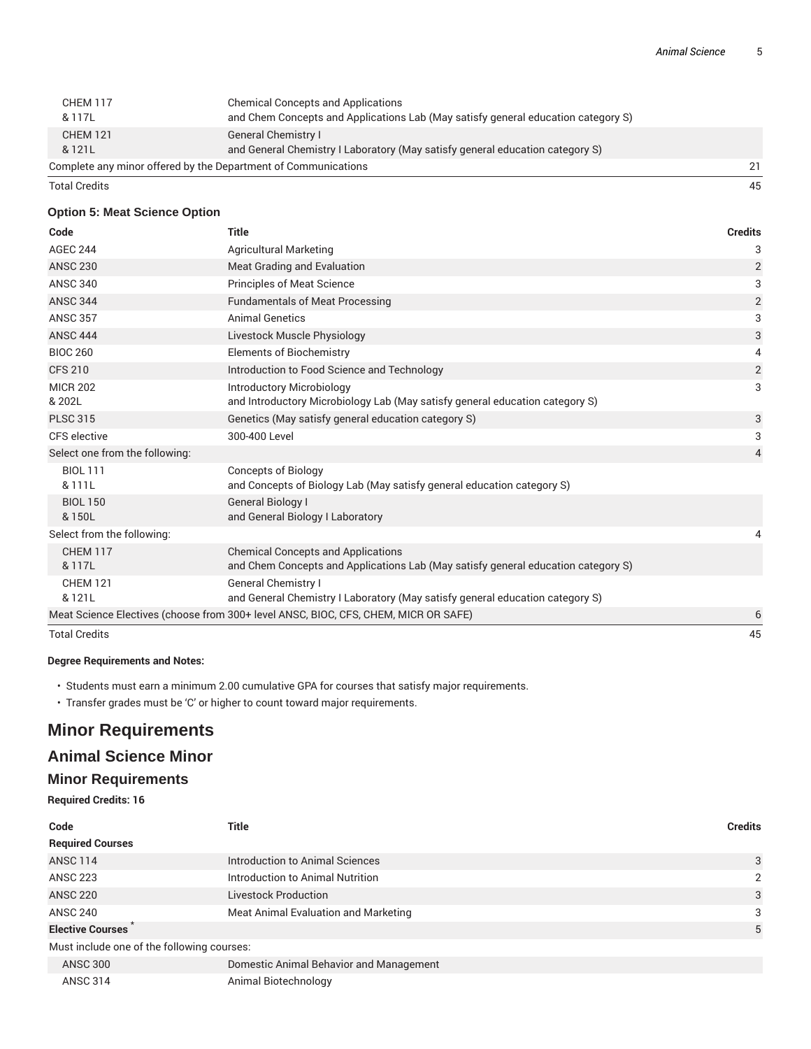| <b>CHEM 117</b><br>& 117L                                            | <b>Chemical Concepts and Applications</b><br>and Chem Concepts and Applications Lab (May satisfy general education category S) |  |
|----------------------------------------------------------------------|--------------------------------------------------------------------------------------------------------------------------------|--|
| <b>CHEM 121</b>                                                      | <b>General Chemistry I</b>                                                                                                     |  |
| & 121L                                                               | and General Chemistry I Laboratory (May satisfy general education category S)                                                  |  |
| Complete any minor offered by the Department of Communications<br>21 |                                                                                                                                |  |

Total Credits 45

#### **Option 5: Meat Science Option**

| Code                           | <b>Title</b>                                                                        | <b>Credits</b> |
|--------------------------------|-------------------------------------------------------------------------------------|----------------|
| <b>AGEC 244</b>                | Agricultural Marketing                                                              | 3              |
| <b>ANSC 230</b>                | Meat Grading and Evaluation                                                         | $\overline{2}$ |
| <b>ANSC 340</b>                | Principles of Meat Science                                                          | 3              |
| <b>ANSC 344</b>                | <b>Fundamentals of Meat Processing</b>                                              | $\overline{2}$ |
| <b>ANSC 357</b>                | <b>Animal Genetics</b>                                                              | 3              |
| <b>ANSC 444</b>                | Livestock Muscle Physiology                                                         | 3              |
| <b>BIOC 260</b>                | <b>Elements of Biochemistry</b>                                                     | 4              |
| <b>CFS 210</b>                 | Introduction to Food Science and Technology                                         | $\overline{2}$ |
| <b>MICR 202</b>                | <b>Introductory Microbiology</b>                                                    | 3              |
| & 202L                         | and Introductory Microbiology Lab (May satisfy general education category S)        |                |
| <b>PLSC 315</b>                | Genetics (May satisfy general education category S)                                 | 3              |
| CFS elective                   | 300-400 Level                                                                       | 3              |
| Select one from the following: |                                                                                     | $\overline{4}$ |
| <b>BIOL 111</b>                | <b>Concepts of Biology</b>                                                          |                |
| & 111L                         | and Concepts of Biology Lab (May satisfy general education category S)              |                |
| <b>BIOL 150</b>                | General Biology I                                                                   |                |
| & 150L                         | and General Biology I Laboratory                                                    |                |
| Select from the following:     |                                                                                     | 4              |
| <b>CHEM 117</b>                | <b>Chemical Concepts and Applications</b>                                           |                |
| & 117L                         | and Chem Concepts and Applications Lab (May satisfy general education category S)   |                |
| <b>CHEM 121</b>                | <b>General Chemistry I</b>                                                          |                |
| & 121L                         | and General Chemistry I Laboratory (May satisfy general education category S)       |                |
|                                | Meat Science Electives (choose from 300+ level ANSC, BIOC, CFS, CHEM, MICR OR SAFE) | 6              |
| <b>Total Credits</b>           |                                                                                     | 45             |

#### **Degree Requirements and Notes:**

• Students must earn a minimum 2.00 cumulative GPA for courses that satisfy major requirements.

• Transfer grades must be 'C' or higher to count toward major requirements.

## **Minor Requirements**

## **Animal Science Minor**

### **Minor Requirements**

**Required Credits: 16**

| Code                                       | Title                                   | <b>Credits</b> |
|--------------------------------------------|-----------------------------------------|----------------|
| <b>Required Courses</b>                    |                                         |                |
| <b>ANSC 114</b>                            | Introduction to Animal Sciences         | 3              |
| <b>ANSC 223</b>                            | Introduction to Animal Nutrition        | 2              |
| <b>ANSC 220</b>                            | <b>Livestock Production</b>             | 3              |
| <b>ANSC 240</b>                            | Meat Animal Evaluation and Marketing    | 3              |
| <b>Elective Courses</b>                    |                                         | 5              |
| Must include one of the following courses: |                                         |                |
| <b>ANSC 300</b>                            | Domestic Animal Behavior and Management |                |
| <b>ANSC 314</b>                            | Animal Biotechnology                    |                |